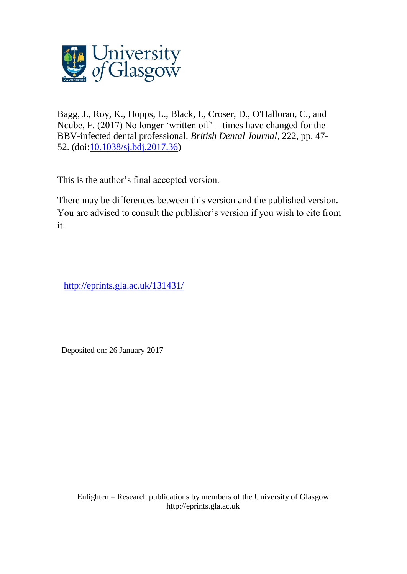

Bagg, J., Roy, K., Hopps, L., Black, I., Croser, D., O'Halloran, C., and Ncube, F. (2017) No longer 'written off' – times have changed for the BBV-infected dental professional. *British Dental Journal*, 222, pp. 47- 52. (doi[:10.1038/sj.bdj.2017.36\)](http://dx.doi.org/10.1038/sj.bdj.2017.36)

This is the author's final accepted version.

There may be differences between this version and the published version. You are advised to consult the publisher's version if you wish to cite from it.

[http://eprints.gla.ac.uk/131431/](http://eprints.gla.ac.uk/133535/)

Deposited on: 26 January 2017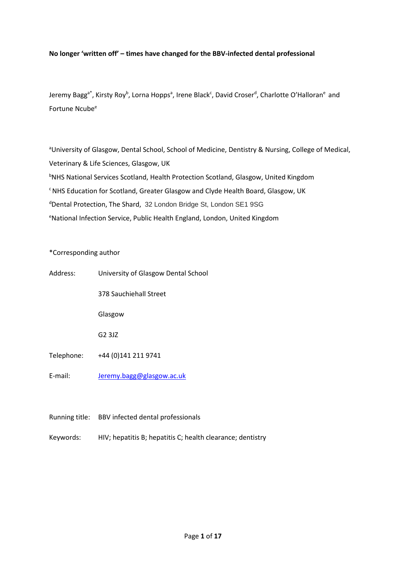## **No longer 'written off' – times have changed for the BBV-infected dental professional**

Jeremy Bagg<sup>a\*</sup>, Kirsty Roy<sup>b</sup>, Lorna Hopps<sup>a</sup>, Irene Black<sup>c</sup>, David Croser<sup>d</sup>, Charlotte O'Halloran<sup>e</sup> and Fortune Ncube<sup>e</sup>

aUniversity of Glasgow, Dental School, School of Medicine, Dentistry & Nursing, College of Medical, Veterinary & Life Sciences, Glasgow, UK **bNHS National Services Scotland, Health Protection Scotland, Glasgow, United Kingdom** <sup>c</sup>NHS Education for Scotland, Greater Glasgow and Clyde Health Board, Glasgow, UK dDental Protection, The Shard, 32 London Bridge St, London SE1 9SG eNational Infection Service, Public Health England, London, United Kingdom

## \*Corresponding author

| Address:   | University of Glasgow Dental School |
|------------|-------------------------------------|
|            | 378 Sauchiehall Street              |
|            | Glasgow                             |
|            | G <sub>2</sub> 3J <sub>Z</sub>      |
| Telephone: | +44 (0) 141 211 9741                |
| E-mail:    | Jeremy.bagg@glasgow.ac.uk           |

Running title: BBV infected dental professionals

Keywords: HIV; hepatitis B; hepatitis C; health clearance; dentistry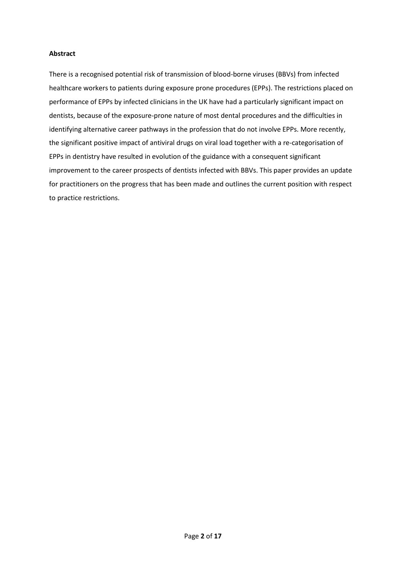## **Abstract**

There is a recognised potential risk of transmission of blood-borne viruses (BBVs) from infected healthcare workers to patients during exposure prone procedures (EPPs). The restrictions placed on performance of EPPs by infected clinicians in the UK have had a particularly significant impact on dentists, because of the exposure-prone nature of most dental procedures and the difficulties in identifying alternative career pathways in the profession that do not involve EPPs. More recently, the significant positive impact of antiviral drugs on viral load together with a re-categorisation of EPPs in dentistry have resulted in evolution of the guidance with a consequent significant improvement to the career prospects of dentists infected with BBVs. This paper provides an update for practitioners on the progress that has been made and outlines the current position with respect to practice restrictions.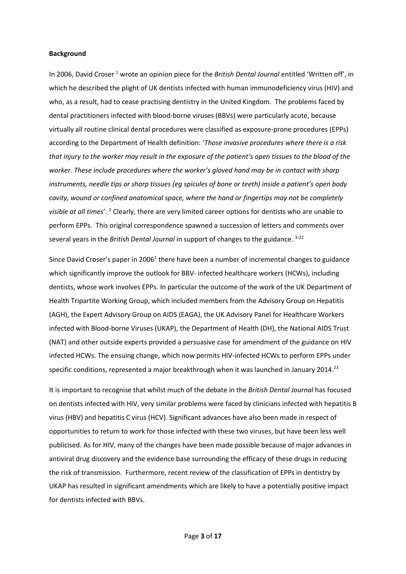#### **Background**

In 2006, David Croser<sup>[1](#page-14-0)</sup> wrote an opinion piece for the *British Dental Journal* entitled 'Written off', in which he described the plight of UK dentists infected with human immunodeficiency virus (HIV) and who, as a result, had to cease practising dentistry in the United Kingdom. The problems faced by dental practitioners infected with blood-borne viruses (BBVs) were particularly acute, because virtually all routine clinical dental procedures were classified as exposure-prone procedures (EPPs) according to the Department of Health definition: '*Those invasive procedures where there is a risk that injury to the worker may result in the exposure of the patient's open tissues to the blood of the worker. These include procedures where the worker's gloved hand may be in contact with sharp instruments, needle tips or sharp tissues (eg spicules of bone or teeth) inside a patient's open body cavity, wound or confined anatomical space, where the hand or fingertips may not be completely visible at all times*'. [2](#page-14-1) Clearly, there are very limited career options for dentists who are unable to perform EPPs. This original correspondence spawned a succession of letters and comments over several years in the *British Dental Journal* in support of changes to the guidance. [3-22](#page-14-2)

Since David Croser's paper in 200[6](#page-14-0)<sup>1</sup> there have been a number of incremental changes to guidance which significantly improve the outlook for BBV- infected healthcare workers (HCWs), including dentists, whose work involves EPPs. In particular the outcome of the work of the UK Department of Health Tripartite Working Group, which included members from the Advisory Group on Hepatitis (AGH), the Expert Advisory Group on AIDS (EAGA), the UK Advisory Panel for Healthcare Workers infected with Blood-borne Viruses (UKAP), the Department of Health (DH), the National AIDS Trust (NAT) and other outside experts provided a persuasive case for amendment of the guidance on HIV infected HCWs. The ensuing change, which now permits HIV-infected HCWs to perform EPPs under specific conditions, represented a major breakthrough when it was launched in January 2014.<sup>[23](#page-14-3)</sup>

It is important to recognise that whilst much of the debate in the *British Dental Journal* has focused on dentists infected with HIV, very similar problems were faced by clinicians infected with hepatitis B virus (HBV) and hepatitis C virus (HCV). Significant advances have also been made in respect of opportunities to return to work for those infected with these two viruses, but have been less well publicised. As for HIV, many of the changes have been made possible because of major advances in antiviral drug discovery and the evidence base surrounding the efficacy of these drugs in reducing the risk of transmission. Furthermore, recent review of the classification of EPPs in dentistry by UKAP has resulted in significant amendments which are likely to have a potentially positive impact for dentists infected with BBVs.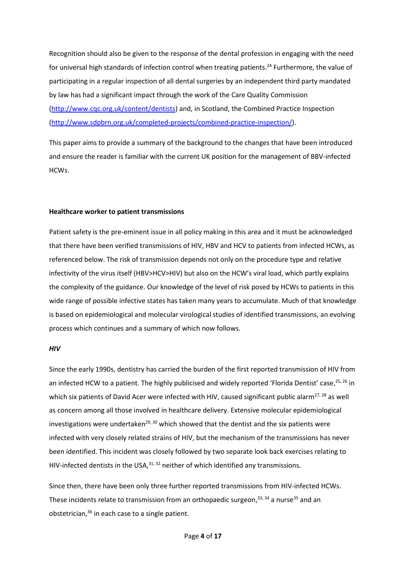Recognition should also be given to the response of the dental profession in engaging with the need for universal high standards of infection control when treating patients.<sup>[24](#page-14-4)</sup> Furthermore, the value of participating in a regular inspection of all dental surgeries by an independent third party mandated by law has had a significant impact through the work of the Care Quality Commission [\(http://www.cqc.org.uk/content/dentists\)](http://www.cqc.org.uk/content/dentists) and, in Scotland, the Combined Practice Inspection [\(http://www.sdpbrn.org.uk/completed-projects/combined-practice-inspection/\)](http://www.sdpbrn.org.uk/completed-projects/combined-practice-inspection/).

This paper aims to provide a summary of the background to the changes that have been introduced and ensure the reader is familiar with the current UK position for the management of BBV-infected HCWs.

### **Healthcare worker to patient transmissions**

Patient safety is the pre-eminent issue in all policy making in this area and it must be acknowledged that there have been verified transmissions of HIV, HBV and HCV to patients from infected HCWs, as referenced below. The risk of transmission depends not only on the procedure type and relative infectivity of the virus itself (HBV>HCV>HIV) but also on the HCW's viral load, which partly explains the complexity of the guidance. Our knowledge of the level of risk posed by HCWs to patients in this wide range of possible infective states has taken many years to accumulate. Much of that knowledge is based on epidemiological and molecular virological studies of identified transmissions, an evolving process which continues and a summary of which now follows.

## *HIV*

Since the early 1990s, dentistry has carried the burden of the first reported transmission of HIV from an infected HCW to a patient. The highly publicised and widely reported 'Florida Dentist' case, [25,](#page-14-5) [26](#page-14-6) in which six patients of David Acer were infected with HIV, caused significant public alarm<sup>[27,](#page-14-7) [28](#page-14-8)</sup> as well as concern among all those involved in healthcare delivery. Extensive molecular epidemiological investigations were undertaken<sup>[29,](#page-14-9) [30](#page-14-10)</sup> which showed that the dentist and the six patients were infected with very closely related strains of HIV, but the mechanism of the transmissions has never been identified. This incident was closely followed by two separate look back exercises relating to HIV-infected dentists in the USA,  $31, 32$  $31, 32$  neither of which identified any transmissions.

Since then, there have been only three further reported transmissions from HIV-infected HCWs. These incidents relate to transmission from an orthopaedic surgeon,<sup>[33,](#page-15-1) [34](#page-15-2)</sup> a nurse<sup>[35](#page-15-3)</sup> and an obstetrician, [36](#page-15-4) in each case to a single patient.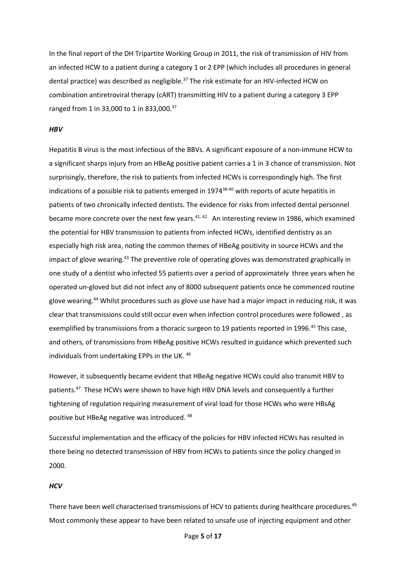In the final report of the DH Tripartite Working Group in 2011, the risk of transmission of HIV from an infected HCW to a patient during a category 1 or 2 EPP (which includes all procedures in general dental practice) was described as negligible.<sup>[37](#page-15-5)</sup> The risk estimate for an HIV-infected HCW on combination antiretroviral therapy (cART) transmitting HIV to a patient during a category 3 EPP ranged from 1 in 33,000 to 1 in 833,000.<sup>[37](#page-15-5)</sup>

#### *HBV*

Hepatitis B virus is the most infectious of the BBVs. A significant exposure of a non-immune HCW to a significant sharps injury from an HBeAg positive patient carries a 1 in 3 chance of transmission. Not surprisingly, therefore, the risk to patients from infected HCWs is correspondingly high. The first indications of a possible risk to patients emerged in 1974 [38-40](#page-15-6) with reports of acute hepatitis in patients of two chronically infected dentists. The evidence for risks from infected dental personnel became more concrete over the next few years.<sup>[41,](#page-15-7) [42](#page-15-8)</sup> An interesting review in 1986, which examined the potential for HBV transmission to patients from infected HCWs, identified dentistry as an especially high risk area, noting the common themes of HBeAg positivity in source HCWs and the impact of glove wearing.<sup>[43](#page-15-9)</sup> The preventive role of operating gloves was demonstrated graphically in one study of a dentist who infected 55 patients over a period of approximately three years when he operated un-gloved but did not infect any of 8000 subsequent patients once he commenced routine glove wearing.<sup>[44](#page-15-10)</sup> Whilst procedures such as glove use have had a major impact in reducing risk, it was clear that transmissions could still occur even when infection control procedures were followed , as exemplified by transmissions from a thoracic surgeon to 19 patients reported in 1996.<sup>[45](#page-15-11)</sup> This case, and others, of transmissions from HBeAg positive HCWs resulted in guidance which prevented such individuals from undertaking EPPs in the UK. [46](#page-15-12)

However, it subsequently became evident that HBeAg negative HCWs could also transmit HBV to patients.<sup>[47](#page-15-13)</sup> These HCWs were shown to have high HBV DNA levels and consequently a further tightening of regulation requiring measurement of viral load for those HCWs who were HBsAg positive but HBeAg negative was introduced. [48](#page-15-14)

Successful implementation and the efficacy of the policies for HBV infected HCWs has resulted in there being no detected transmission of HBV from HCWs to patients since the policy changed in 2000.

## *HCV*

There have been well characterised transmissions of HCV to patients during healthcare procedures.<sup>[49](#page-15-15)</sup> Most commonly these appear to have been related to unsafe use of injecting equipment and other

Page **5** of **17**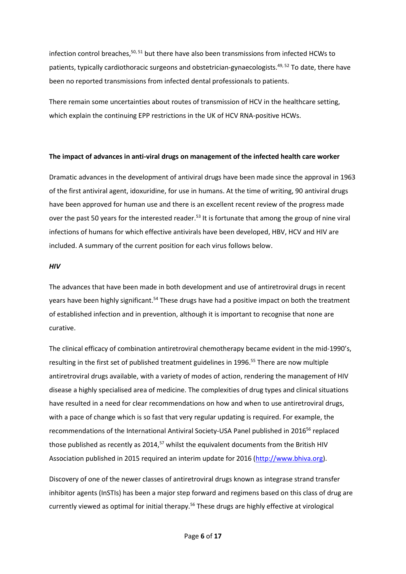infection control breaches,<sup>[50,](#page-15-16) [51](#page-15-17)</sup> but there have also been transmissions from infected HCWs to patients, typically cardiothoracic surgeons and obstetrician-gynaecologists.<sup>[49,](#page-15-15) [52](#page-16-0)</sup> To date, there have been no reported transmissions from infected dental professionals to patients.

There remain some uncertainties about routes of transmission of HCV in the healthcare setting, which explain the continuing EPP restrictions in the UK of HCV RNA-positive HCWs.

## **The impact of advances in anti-viral drugs on management of the infected health care worker**

Dramatic advances in the development of antiviral drugs have been made since the approval in 1963 of the first antiviral agent, idoxuridine, for use in humans. At the time of writing, 90 antiviral drugs have been approved for human use and there is an excellent recent review of the progress made over the past 50 years for the interested reader.<sup>[53](#page-16-1)</sup> It is fortunate that among the group of nine viral infections of humans for which effective antivirals have been developed, HBV, HCV and HIV are included. A summary of the current position for each virus follows below.

## *HIV*

The advances that have been made in both development and use of antiretroviral drugs in recent years have been highly significant.<sup>[54](#page-16-2)</sup> These drugs have had a positive impact on both the treatment of established infection and in prevention, although it is important to recognise that none are curative.

The clinical efficacy of combination antiretroviral chemotherapy became evident in the mid-1990's, resulting in the first set of published treatment guidelines in 1996. [55](#page-16-3) There are now multiple antiretroviral drugs available, with a variety of modes of action, rendering the management of HIV disease a highly specialised area of medicine. The complexities of drug types and clinical situations have resulted in a need for clear recommendations on how and when to use antiretroviral drugs, with a pace of change which is so fast that very regular updating is required. For example, the recommendations of the International Antiviral Society-USA Panel published in 2016<sup>[56](#page-16-4)</sup> replaced those published as recently as 2014,<sup>[57](#page-16-5)</sup> whilst the equivalent documents from the British HIV Association published in 2015 required an interim update for 2016 [\(http://www.bhiva.org\)](http://www.bhiva.org/).

Discovery of one of the newer classes of antiretroviral drugs known as integrase strand transfer inhibitor agents (InSTIs) has been a major step forward and regimens based on this class of drug are currently viewed as optimal for initial therapy. [56](#page-16-4) These drugs are highly effective at virological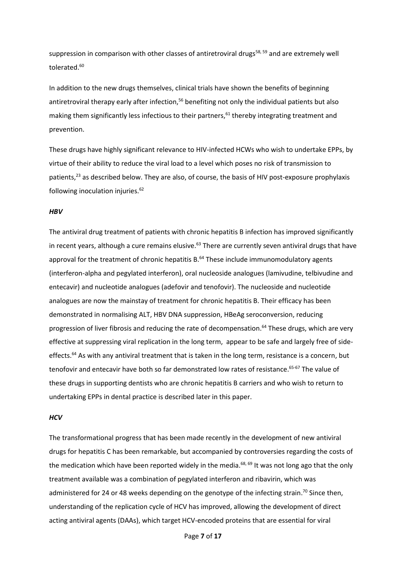suppression in comparison with other classes of antiretroviral drugs<sup>[58,](#page-16-6) [59](#page-16-7)</sup> and are extremely well tolerated. [60](#page-16-8)

In addition to the new drugs themselves, clinical trials have shown the benefits of beginning antiretroviral therapy early after infection,<sup>[56](#page-16-4)</sup> benefiting not only the individual patients but also making them significantly less infectious to their partners, [61](#page-16-9) thereby integrating treatment and prevention.

These drugs have highly significant relevance to HIV-infected HCWs who wish to undertake EPPs, by virtue of their ability to reduce the viral load to a level which poses no risk of transmission to patients,[23](#page-14-3) as described below. They are also, of course, the basis of HIV post-exposure prophylaxis following inoculation injuries. $62$ 

#### *HBV*

The antiviral drug treatment of patients with chronic hepatitis B infection has improved significantly in recent years, although a cure remains elusive.<sup>[63](#page-16-11)</sup> There are currently seven antiviral drugs that have approval for the treatment of chronic hepatitis B.<sup>[64](#page-16-12)</sup> These include immunomodulatory agents (interferon-alpha and pegylated interferon), oral nucleoside analogues (lamivudine, telbivudine and entecavir) and nucleotide analogues (adefovir and tenofovir). The nucleoside and nucleotide analogues are now the mainstay of treatment for chronic hepatitis B. Their efficacy has been demonstrated in normalising ALT, HBV DNA suppression, HBeAg seroconversion, reducing progression of liver fibrosis and reducing the rate of decompensation. [64](#page-16-12) These drugs, which are very effective at suppressing viral replication in the long term, appear to be safe and largely free of side-effects.<sup>[64](#page-16-12)</sup> As with any antiviral treatment that is taken in the long term, resistance is a concern, but tenofovir and entecavir have both so far demonstrated low rates of resistance. [65-67](#page-16-13) The value of these drugs in supporting dentists who are chronic hepatitis B carriers and who wish to return to undertaking EPPs in dental practice is described later in this paper.

#### *HCV*

The transformational progress that has been made recently in the development of new antiviral drugs for hepatitis C has been remarkable, but accompanied by controversies regarding the costs of the medication which have been reported widely in the media.<sup>[68,](#page-16-14) [69](#page-16-15)</sup> It was not long ago that the only treatment available was a combination of pegylated interferon and ribavirin, which was administered for 24 or 48 weeks depending on the genotype of the infecting strain.<sup>[70](#page-16-16)</sup> Since then, understanding of the replication cycle of HCV has improved, allowing the development of direct acting antiviral agents (DAAs), which target HCV-encoded proteins that are essential for viral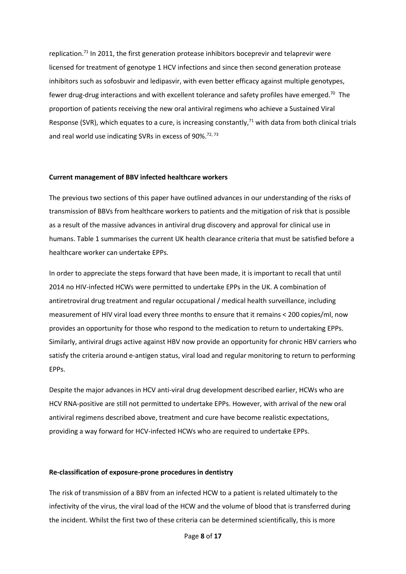replication.<sup>[71](#page-17-0)</sup> In 2011, the first generation protease inhibitors boceprevir and telaprevir were licensed for treatment of genotype 1 HCV infections and since then second generation protease inhibitors such as sofosbuvir and ledipasvir, with even better efficacy against multiple genotypes, fewer drug-drug interactions and with excellent tolerance and safety profiles have emerged.<sup>[70](#page-16-16)</sup> The proportion of patients receiving the new oral antiviral regimens who achieve a Sustained Viral Response (SVR), which equates to a cure, is increasing constantly,<sup>[71](#page-17-0)</sup> with data from both clinical trials and real world use indicating SVRs in excess of 90%.<sup>[72,](#page-17-1) [73](#page-17-2)</sup>

## **Current management of BBV infected healthcare workers**

The previous two sections of this paper have outlined advances in our understanding of the risks of transmission of BBVs from healthcare workers to patients and the mitigation of risk that is possible as a result of the massive advances in antiviral drug discovery and approval for clinical use in humans. Table 1 summarises the current UK health clearance criteria that must be satisfied before a healthcare worker can undertake EPPs.

In order to appreciate the steps forward that have been made, it is important to recall that until 2014 no HIV-infected HCWs were permitted to undertake EPPs in the UK. A combination of antiretroviral drug treatment and regular occupational / medical health surveillance, including measurement of HIV viral load every three months to ensure that it remains < 200 copies/ml, now provides an opportunity for those who respond to the medication to return to undertaking EPPs. Similarly, antiviral drugs active against HBV now provide an opportunity for chronic HBV carriers who satisfy the criteria around e-antigen status, viral load and regular monitoring to return to performing EPPs.

Despite the major advances in HCV anti-viral drug development described earlier, HCWs who are HCV RNA-positive are still not permitted to undertake EPPs. However, with arrival of the new oral antiviral regimens described above, treatment and cure have become realistic expectations, providing a way forward for HCV-infected HCWs who are required to undertake EPPs.

#### **Re-classification of exposure-prone procedures in dentistry**

The risk of transmission of a BBV from an infected HCW to a patient is related ultimately to the infectivity of the virus, the viral load of the HCW and the volume of blood that is transferred during the incident. Whilst the first two of these criteria can be determined scientifically, this is more

Page **8** of **17**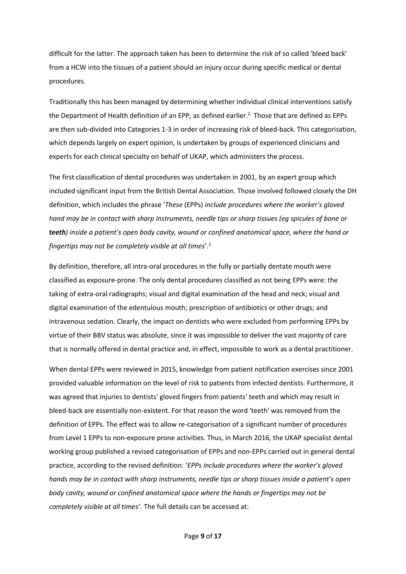difficult for the latter. The approach taken has been to determine the risk of so called 'bleed back' from a HCW into the tissues of a patient should an injury occur during specific medical or dental procedures.

Traditionally this has been managed by determining whether individual clinical interventions satisfy the Department of Health definition of an EPP, as defined earlier[.](#page-14-1) <sup>2</sup> Those that are defined as EPPs are then sub-divided into Categories 1-3 in order of increasing risk of bleed-back. This categorisation, which depends largely on expert opinion, is undertaken by groups of experienced clinicians and experts for each clinical specialty on behalf of UKAP, which administers the process.

The first classification of dental procedures was undertaken in 2001, by an expert group which included significant input from the British Dental Association. Those involved followed closely the DH definition, which includes the phrase '*These* (EPPs) *include procedures where the worker's gloved hand may be in contact with sharp instruments, needle tips or sharp tissues (eg spicules of bone or teeth) inside a patient's open body cavity, wound or confined anatomical space, where the hand or fingertips may not be completely visible at all times*'.[2](#page-14-1)

By definition, therefore, all intra-oral procedures in the fully or partially dentate mouth were classified as exposure-prone. The only dental procedures classified as not being EPPs were: the taking of extra-oral radiographs; visual and digital examination of the head and neck; visual and digital examination of the edentulous mouth; prescription of antibiotics or other drugs; and intravenous sedation. Clearly, the impact on dentists who were excluded from performing EPPs by virtue of their BBV status was absolute, since it was impossible to deliver the vast majority of care that is normally offered in dental practice and, in effect, impossible to work as a dental practitioner.

When dental EPPs were reviewed in 2015, knowledge from patient notification exercises since 2001 provided valuable information on the level of risk to patients from infected dentists. Furthermore, it was agreed that injuries to dentists' gloved fingers from patients' teeth and which may result in bleed-back are essentially non-existent. For that reason the word 'teeth' was removed from the definition of EPPs. The effect was to allow re-categorisation of a significant number of procedures from Level 1 EPPs to non-exposure prone activities. Thus, in March 2016, the UKAP specialist dental working group published a revised categorisation of EPPs and non-EPPs carried out in general dental practice, according to the revised definition: '*EPPs include procedures where the worker's gloved hands may be in contact with sharp instruments, needle tips or sharp tissues inside a patient's open body cavity, wound or confined anatomical space where the hands or fingertips may not be completely visible at all times'.* The full details can be accessed at: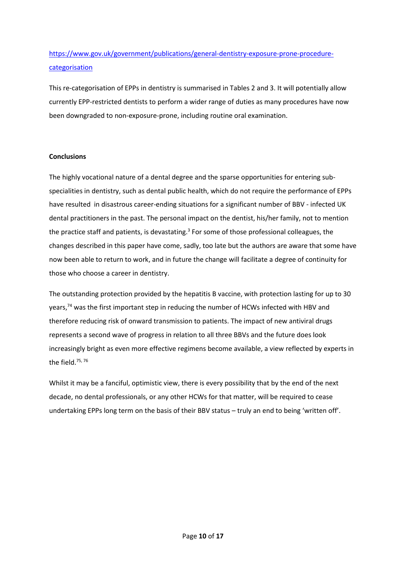# [https://www.gov.uk/government/publications/general-dentistry-exposure-prone-procedure](https://www.gov.uk/government/publications/general-dentistry-exposure-prone-procedure-categorisation)[categorisation](https://www.gov.uk/government/publications/general-dentistry-exposure-prone-procedure-categorisation)

This re-categorisation of EPPs in dentistry is summarised in Tables 2 and 3. It will potentially allow currently EPP-restricted dentists to perform a wider range of duties as many procedures have now been downgraded to non-exposure-prone, including routine oral examination.

# **Conclusions**

The highly vocational nature of a dental degree and the sparse opportunities for entering subspecialities in dentistry, such as dental public health, which do not require the performance of EPPs have resulted in disastrous career-ending situations for a significant number of BBV - infected UK dental practitioners in the past. The personal impact on the dentist, his/her family, not to mention the practice staff and patients, is devastating[.](#page-14-2)<sup>3</sup> For some of those professional colleagues, the changes described in this paper have come, sadly, too late but the authors are aware that some have now been able to return to work, and in future the change will facilitate a degree of continuity for those who choose a career in dentistry.

The outstanding protection provided by the hepatitis B vaccine, with protection lasting for up to 30 years, $74$  was the first important step in reducing the number of HCWs infected with HBV and therefore reducing risk of onward transmission to patients. The impact of new antiviral drugs represents a second wave of progress in relation to all three BBVs and the future does look increasingly bright as even more effective regimens become available, a view reflected by experts in the field.[75,](#page-17-4) [76](#page-17-5)

Whilst it may be a fanciful, optimistic view, there is every possibility that by the end of the next decade, no dental professionals, or any other HCWs for that matter, will be required to cease undertaking EPPs long term on the basis of their BBV status – truly an end to being 'written off'.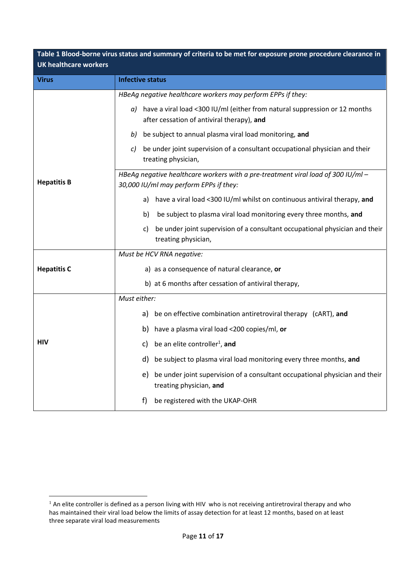| Table 1 Blood-borne virus status and summary of criteria to be met for exposure prone procedure clearance in<br><b>UK healthcare workers</b> |                                                                                                                                |  |
|----------------------------------------------------------------------------------------------------------------------------------------------|--------------------------------------------------------------------------------------------------------------------------------|--|
| <b>Virus</b>                                                                                                                                 | <b>Infective status</b>                                                                                                        |  |
|                                                                                                                                              | HBeAg negative healthcare workers may perform EPPs if they:                                                                    |  |
| <b>Hepatitis B</b>                                                                                                                           | $a$ ) have a viral load <300 IU/ml (either from natural suppression or 12 months<br>after cessation of antiviral therapy), and |  |
|                                                                                                                                              | be subject to annual plasma viral load monitoring, and<br>b)                                                                   |  |
|                                                                                                                                              | be under joint supervision of a consultant occupational physician and their<br>C)<br>treating physician,                       |  |
|                                                                                                                                              | HBeAq neqative healthcare workers with a pre-treatment viral load of 300 IU/ml -<br>30,000 IU/ml may perform EPPs if they:     |  |
|                                                                                                                                              | a) have a viral load <300 IU/ml whilst on continuous antiviral therapy, and                                                    |  |
|                                                                                                                                              | be subject to plasma viral load monitoring every three months, and<br>b)                                                       |  |
|                                                                                                                                              | be under joint supervision of a consultant occupational physician and their<br>C)<br>treating physician,                       |  |
|                                                                                                                                              | Must be HCV RNA negative:                                                                                                      |  |
| <b>Hepatitis C</b>                                                                                                                           | a) as a consequence of natural clearance, or                                                                                   |  |
|                                                                                                                                              | b) at 6 months after cessation of antiviral therapy,                                                                           |  |
|                                                                                                                                              | Must either:                                                                                                                   |  |
| <b>HIV</b>                                                                                                                                   | a) be on effective combination antiretroviral therapy (CART), and                                                              |  |
|                                                                                                                                              | b) have a plasma viral load <200 copies/ml, or                                                                                 |  |
|                                                                                                                                              | c) be an elite controller <sup>1</sup> , and                                                                                   |  |
|                                                                                                                                              | be subject to plasma viral load monitoring every three months, and<br>a)                                                       |  |
|                                                                                                                                              | be under joint supervision of a consultant occupational physician and their<br>e)<br>treating physician, and                   |  |
|                                                                                                                                              | be registered with the UKAP-OHR<br>f)                                                                                          |  |

**.** 

 $1$  An elite controller is defined as a person living with HIV who is not receiving antiretroviral therapy and who has maintained their viral load below the limits of assay detection for at least 12 months, based on at least three separate viral load measurements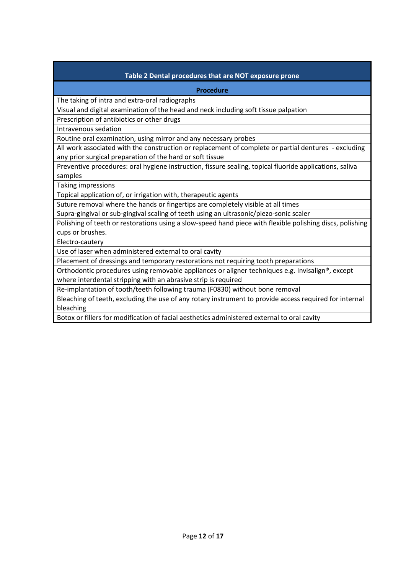| Table 2 Dental procedures that are NOT exposure prone                                                     |  |  |
|-----------------------------------------------------------------------------------------------------------|--|--|
| <b>Procedure</b>                                                                                          |  |  |
| The taking of intra and extra-oral radiographs                                                            |  |  |
| Visual and digital examination of the head and neck including soft tissue palpation                       |  |  |
| Prescription of antibiotics or other drugs                                                                |  |  |
| Intravenous sedation                                                                                      |  |  |
| Routine oral examination, using mirror and any necessary probes                                           |  |  |
| All work associated with the construction or replacement of complete or partial dentures - excluding      |  |  |
| any prior surgical preparation of the hard or soft tissue                                                 |  |  |
| Preventive procedures: oral hygiene instruction, fissure sealing, topical fluoride applications, saliva   |  |  |
| samples                                                                                                   |  |  |
| Taking impressions                                                                                        |  |  |
| Topical application of, or irrigation with, therapeutic agents                                            |  |  |
| Suture removal where the hands or fingertips are completely visible at all times                          |  |  |
| Supra-gingival or sub-gingival scaling of teeth using an ultrasonic/piezo-sonic scaler                    |  |  |
| Polishing of teeth or restorations using a slow-speed hand piece with flexible polishing discs, polishing |  |  |
| cups or brushes.                                                                                          |  |  |
| Electro-cautery                                                                                           |  |  |
| Use of laser when administered external to oral cavity                                                    |  |  |
| Placement of dressings and temporary restorations not requiring tooth preparations                        |  |  |
| Orthodontic procedures using removable appliances or aligner techniques e.g. Invisalign®, except          |  |  |
| where interdental stripping with an abrasive strip is required                                            |  |  |
| Re-implantation of tooth/teeth following trauma (F0830) without bone removal                              |  |  |
| Bleaching of teeth, excluding the use of any rotary instrument to provide access required for internal    |  |  |
| bleaching                                                                                                 |  |  |

Botox or fillers for modification of facial aesthetics administered external to oral cavity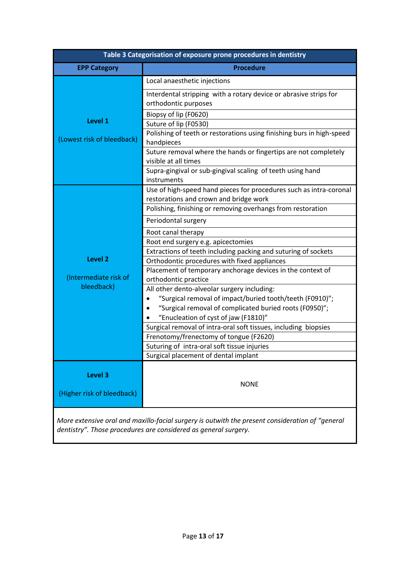| Table 3 Categorisation of exposure prone procedures in dentistry |                                                                                                              |  |
|------------------------------------------------------------------|--------------------------------------------------------------------------------------------------------------|--|
| <b>EPP Category</b>                                              | <b>Procedure</b>                                                                                             |  |
| Level 1<br>(Lowest risk of bleedback)                            | Local anaesthetic injections                                                                                 |  |
|                                                                  | Interdental stripping with a rotary device or abrasive strips for<br>orthodontic purposes                    |  |
|                                                                  | Biopsy of lip (F0620)                                                                                        |  |
|                                                                  | Suture of lip (F0530)                                                                                        |  |
|                                                                  | Polishing of teeth or restorations using finishing burs in high-speed<br>handpieces                          |  |
|                                                                  | Suture removal where the hands or fingertips are not completely<br>visible at all times                      |  |
|                                                                  | Supra-gingival or sub-gingival scaling of teeth using hand<br>instruments                                    |  |
|                                                                  | Use of high-speed hand pieces for procedures such as intra-coronal<br>restorations and crown and bridge work |  |
|                                                                  | Polishing, finishing or removing overhangs from restoration                                                  |  |
|                                                                  | Periodontal surgery                                                                                          |  |
|                                                                  | Root canal therapy                                                                                           |  |
|                                                                  | Root end surgery e.g. apicectomies                                                                           |  |
| <b>Level 2</b>                                                   | Extractions of teeth including packing and suturing of sockets                                               |  |
|                                                                  | Orthodontic procedures with fixed appliances<br>Placement of temporary anchorage devices in the context of   |  |
| (Intermediate risk of                                            | orthodontic practice                                                                                         |  |
| bleedback)                                                       | All other dento-alveolar surgery including:                                                                  |  |
|                                                                  | "Surgical removal of impact/buried tooth/teeth (F0910)";                                                     |  |
|                                                                  | "Surgical removal of complicated buried roots (F0950)";                                                      |  |
|                                                                  | "Enucleation of cyst of jaw (F1810)"                                                                         |  |
|                                                                  | Surgical removal of intra-oral soft tissues, including biopsies                                              |  |
|                                                                  | Frenotomy/frenectomy of tongue (F2620)                                                                       |  |
|                                                                  | Suturing of intra-oral soft tissue injuries<br>Surgical placement of dental implant                          |  |
|                                                                  |                                                                                                              |  |
| <b>Level 3</b>                                                   |                                                                                                              |  |
|                                                                  | <b>NONE</b>                                                                                                  |  |
| (Higher risk of bleedback)                                       |                                                                                                              |  |
|                                                                  |                                                                                                              |  |

*More extensive oral and maxillo-facial surgery is outwith the present consideration of "general dentistry". Those procedures are considered as general surgery.*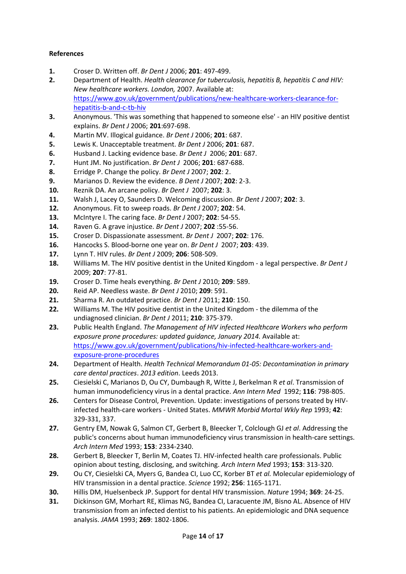# **References**

- <span id="page-14-0"></span>**1.** Croser D. Written off. *Br Dent J* 2006; **201**: 497-499.
- <span id="page-14-1"></span>**2.** Department of Health. *Health* c*learance for tuberculosis, hepatitis B, hepatitis C and HIV: New healthcare workers. London,* 2007. Available at: [https://www.gov.uk/government/publications/new-healthcare-workers-clearance-for](https://www.gov.uk/government/publications/new-healthcare-workers-clearance-for-hepatitis-b-and-c-tb-hiv)[hepatitis-b-and-c-tb-hiv](https://www.gov.uk/government/publications/new-healthcare-workers-clearance-for-hepatitis-b-and-c-tb-hiv)
- <span id="page-14-2"></span>**3.** Anonymous. 'This was something that happened to someone else' - an HIV positive dentist explains. *Br Dent J* 2006; **201**:697-698.
- **4.** Martin MV. Illogical guidance. *Br Dent J* 2006; **201**: 687.
- **5.** Lewis K. Unacceptable treatment. *Br Dent J* 2006; **201**: 687.
- **6.** Husband J. Lacking evidence base. *Br Dent J* 2006; **201**: 687.
- **7.** Hunt JM. No justification. *Br Dent J* 2006; **201**: 687-688.
- **8.** Erridge P. Change the policy. *Br Dent J* 2007; **202**: 2.
- **9.** Marianos D. Review the evidence. *B Dent J* 2007; **202**: 2-3.
- **10.** Reznik DA. An arcane policy. *Br Dent J* 2007; **202**: 3.
- **11.** Walsh J, Lacey O, Saunders D. Welcoming discussion. *Br Dent J* 2007; **202**: 3.
- **12.** Anonymous. Fit to sweep roads. *Br Dent J* 2007; **202**: 54.
- **13.** McIntyre I. The caring face. *Br Dent J* 2007; **202**: 54-55.
- **14.** Raven G. A grave injustice. *Br Dent J* 2007; **202** :55-56.
- **15.** Croser D. Dispassionate assessment. *Br Dent J* 2007; **202**: 176.
- **16.** Hancocks S. Blood-borne one year on. *Br Dent J* 2007; **203**: 439.
- **17.** Lynn T. HIV rules. *Br Dent J* 2009; **206**: 508-509.
- **18.** Williams M. The HIV positive dentist in the United Kingdom a legal perspective. *Br Dent J* 2009; **207**: 77-81.
- **19.** Croser D. Time heals everything. *Br Dent J* 2010; **209**: 589.
- **20.** Reid AP. Needless waste. *Br Dent J* 2010; **209**: 591.
- **21.** Sharma R. An outdated practice. *Br Dent J* 2011; **210**: 150.
- **22.** Williams M. The HIV positive dentist in the United Kingdom the dilemma of the undiagnosed clinician. *Br Dent J* 2011; **210**: 375-379.
- <span id="page-14-3"></span>**23.** Public Health England. *The Management of HIV infected Healthcare Workers who perform exposure prone procedures: updated guidance, January 2014.* Available at: [https://www.gov.uk/government/publications/hiv-infected-healthcare-workers-and](https://www.gov.uk/government/publications/hiv-infected-healthcare-workers-and-exposure-prone-procedures)[exposure-prone-procedures](https://www.gov.uk/government/publications/hiv-infected-healthcare-workers-and-exposure-prone-procedures)
- <span id="page-14-4"></span>**24.** Department of Health. *Health Technical Memorandum 01-05: Decontamination in primary care dental practices*. *2013 edition*. Leeds 2013.
- <span id="page-14-5"></span>**25.** Ciesielski C, Marianos D, Ou CY, Dumbaugh R, Witte J, Berkelman R *et al*. Transmission of human immunodeficiency virus in a dental practice. *Ann Intern Med* 1992; **116**: 798-805.
- <span id="page-14-6"></span>**26.** Centers for Disease Control, Prevention. Update: investigations of persons treated by HIVinfected health-care workers - United States. *MMWR Morbid Mortal Wkly Rep* 1993; **42**: 329-331, 337.
- <span id="page-14-7"></span>**27.** Gentry EM, Nowak G, Salmon CT, Gerbert B, Bleecker T, Colclough GJ *et al*. Addressing the public's concerns about human immunodeficiency virus transmission in health-care settings. *Arch Intern Med* 1993; **153**: 2334-2340.
- <span id="page-14-8"></span>**28.** Gerbert B, Bleecker T, Berlin M, Coates TJ. HIV-infected health care professionals. Public opinion about testing, disclosing, and switching. *Arch Intern Med* 1993; **153**: 313-320.
- <span id="page-14-9"></span>**29.** Ou CY, Ciesielski CA, Myers G, Bandea CI, Luo CC, Korber BT *et al.* Molecular epidemiology of HIV transmission in a dental practice. *Science* 1992; **256**: 1165-1171.
- <span id="page-14-10"></span>**30.** Hillis DM, Huelsenbeck JP. Support for dental HIV transmission. *Nature* 1994; **369**: 24-25.
- <span id="page-14-11"></span>**31.** Dickinson GM, Morhart RE, Klimas NG, Bandea CI, Laracuente JM, Bisno AL. Absence of HIV transmission from an infected dentist to his patients. An epidemiologic and DNA sequence analysis. *JAMA* 1993; **269**: 1802-1806.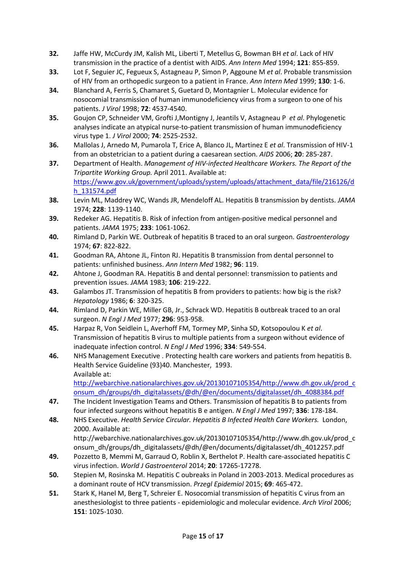- <span id="page-15-0"></span>**32.** Jaffe HW, McCurdy JM, Kalish ML, Liberti T, Metellus G, Bowman BH *et al*. Lack of HIV transmission in the practice of a dentist with AIDS. *Ann Intern Med* 1994; **121**: 855-859.
- <span id="page-15-1"></span>**33.** Lot F, Seguier JC, Fegueux S, Astagneau P, Simon P, Aggoune M *et al*. Probable transmission of HIV from an orthopedic surgeon to a patient in France. *Ann Intern Med* 1999; **130**: 1-6.
- <span id="page-15-2"></span>**34.** Blanchard A, Ferris S, Chamaret S, Guetard D, Montagnier L. Molecular evidence for nosocomial transmission of human immunodeficiency virus from a surgeon to one of his patients. *J Virol* 1998; **72**: 4537-4540.
- <span id="page-15-3"></span>**35.** Goujon CP, Schneider VM, Grofti J,Montigny J, Jeantils V, Astagneau P *et al*. Phylogenetic analyses indicate an atypical nurse-to-patient transmission of human immunodeficiency virus type 1. *J Virol* 2000; **74**: 2525-2532.
- <span id="page-15-4"></span>**36.** Mallolas J, Arnedo M, Pumarola T, Erice A, Blanco JL, Martinez E *et al*. Transmission of HIV-1 from an obstetrician to a patient during a caesarean section. *AIDS* 2006; **20**: 285-287.
- <span id="page-15-5"></span>**37.** Department of Health. *Management of HIV-infected Healthcare Workers. The Report of the Tripartite Working Group.* April 2011. Available at: [https://www.gov.uk/government/uploads/system/uploads/attachment\\_data/file/216126/d](https://www.gov.uk/government/uploads/system/uploads/attachment_data/file/216126/dh_131574.pdf) [h\\_131574.pdf](https://www.gov.uk/government/uploads/system/uploads/attachment_data/file/216126/dh_131574.pdf)
- <span id="page-15-6"></span>**38.** Levin ML, Maddrey WC, Wands JR, Mendeloff AL. Hepatitis B transmission by dentists. *JAMA* 1974; **228**: 1139-1140.
- **39.** Redeker AG. Hepatitis B. Risk of infection from antigen-positive medical personnel and patients. *JAMA* 1975; **233**: 1061-1062.
- **40.** Rimland D, Parkin WE. Outbreak of hepatitis B traced to an oral surgeon. *Gastroenterology* 1974; **67**: 822-822.
- <span id="page-15-7"></span>**41.** Goodman RA, Ahtone JL, Finton RJ. Hepatitis B transmission from dental personnel to patients: unfinished business. *Ann Intern Med* 1982; **96**: 119.
- <span id="page-15-8"></span>**42.** Ahtone J, Goodman RA. Hepatitis B and dental personnel: transmission to patients and prevention issues. *JAMA* 1983; **106**: 219-222.
- <span id="page-15-9"></span>**43.** Galambos JT. Transmission of hepatitis B from providers to patients: how big is the risk? *Hepatology* 1986; **6**: 320-325.
- <span id="page-15-10"></span>**44.** Rimland D, Parkin WE, Miller GB, Jr., Schrack WD. Hepatitis B outbreak traced to an oral surgeon. *N Engl J Med* 1977; **296**: 953-958.
- <span id="page-15-11"></span>**45.** Harpaz R, Von Seidlein L, Averhoff FM, Tormey MP, Sinha SD, Kotsopoulou K *et al*. Transmission of hepatitis B virus to multiple patients from a surgeon without evidence of inadequate infection control. *N Engl J Med* 1996; **334**: 549-554.
- <span id="page-15-12"></span>**46.** NHS Management Executive . Protecting health care workers and patients from hepatitis B. Health Service Guideline (93)40. Manchester, 1993. Available at: [http://webarchive.nationalarchives.gov.uk/20130107105354/http://www.dh.gov.uk/prod\\_c](http://webarchive.nationalarchives.gov.uk/20130107105354/http:/www.dh.gov.uk/prod_consum_dh/groups/dh_digitalassets/@dh/@en/documents/digitalasset/dh_4088384.pdf) [onsum\\_dh/groups/dh\\_digitalassets/@dh/@en/documents/digitalasset/dh\\_4088384.pdf](http://webarchive.nationalarchives.gov.uk/20130107105354/http:/www.dh.gov.uk/prod_consum_dh/groups/dh_digitalassets/@dh/@en/documents/digitalasset/dh_4088384.pdf)
- <span id="page-15-13"></span>**47.** The Incident Investigation Teams and Others. Transmission of hepatitis B to patients from four infected surgeons without hepatitis B e antigen. *N Engl J Med* 1997; **336**: 178-184.
- <span id="page-15-14"></span>**48.** NHS Executive. *Health Service Circular. Hepatitis B Infected Health Care Workers.* London, 2000. Available at: http://webarchive.nationalarchives.gov.uk/20130107105354/http://www.dh.gov.uk/prod\_c
	- onsum\_dh/groups/dh\_digitalassets/@dh/@en/documents/digitalasset/dh\_4012257.pdf
- <span id="page-15-15"></span>**49.** Pozzetto B, Memmi M, Garraud O, Roblin X, Berthelot P. Health care-associated hepatitis C virus infection. *World J Gastroenterol* 2014; **20**: 17265-17278.
- <span id="page-15-16"></span>**50.** Stepien M, Rosinska M. Hepatitis C oubreaks in Poland in 2003-2013. Medical procedures as a dominant route of HCV transmission. *Przegl Epidemiol* 2015; **69**: 465-472.
- <span id="page-15-17"></span>**51.** Stark K, Hanel M, Berg T, Schreier E. Nosocomial transmission of hepatitis C virus from an anesthesiologist to three patients - epidemiologic and molecular evidence. *Arch Virol* 2006; **151**: 1025-1030.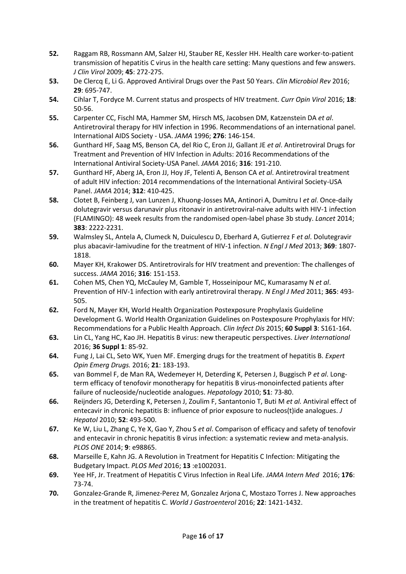- <span id="page-16-0"></span>**52.** Raggam RB, Rossmann AM, Salzer HJ, Stauber RE, Kessler HH. Health care worker-to-patient transmission of hepatitis C virus in the health care setting: Many questions and few answers. *J Clin Virol* 2009; **45**: 272-275.
- <span id="page-16-1"></span>**53.** De Clercq E, Li G. Approved Antiviral Drugs over the Past 50 Years. *Clin Microbiol Rev* 2016; **29**: 695-747.
- <span id="page-16-2"></span>**54.** Cihlar T, Fordyce M. Current status and prospects of HIV treatment. *Curr Opin Virol* 2016; **18**: 50-56.
- <span id="page-16-3"></span>**55.** Carpenter CC, Fischl MA, Hammer SM, Hirsch MS, Jacobsen DM, Katzenstein DA *et al*. Antiretroviral therapy for HIV infection in 1996. Recommendations of an international panel. International AIDS Society - USA. *JAMA* 1996; **276**: 146-154.
- <span id="page-16-4"></span>**56.** Gunthard HF, Saag MS, Benson CA, del Rio C, Eron JJ, Gallant JE *et al*. Antiretroviral Drugs for Treatment and Prevention of HIV Infection in Adults: 2016 Recommendations of the International Antiviral Society-USA Panel. *JAMA* 2016; **316**: 191-210.
- <span id="page-16-5"></span>**57.** Gunthard HF, Aberg JA, Eron JJ, Hoy JF, Telenti A, Benson CA *et al*. Antiretroviral treatment of adult HIV infection: 2014 recommendations of the International Antiviral Society-USA Panel. *JAMA* 2014; **312**: 410-425.
- <span id="page-16-6"></span>**58.** Clotet B, Feinberg J, van Lunzen J, Khuong-Josses MA, Antinori A, Dumitru I *et al*. Once-daily dolutegravir versus darunavir plus ritonavir in antiretroviral-naive adults with HIV-1 infection (FLAMINGO): 48 week results from the randomised open-label phase 3b study. *Lancet* 2014; **383**: 2222-2231.
- <span id="page-16-7"></span>**59.** Walmsley SL, Antela A, Clumeck N, Duiculescu D, Eberhard A, Gutierrez F *et al*. Dolutegravir plus abacavir-lamivudine for the treatment of HIV-1 infection. *N Engl J Med* 2013; **369**: 1807- 1818.
- <span id="page-16-8"></span>**60.** Mayer KH, Krakower DS. Antiretrovirals for HIV treatment and prevention: The challenges of success. *JAMA* 2016; **316**: 151-153.
- <span id="page-16-9"></span>**61.** Cohen MS, Chen YQ, McCauley M, Gamble T, Hosseinipour MC, Kumarasamy N *et al*. Prevention of HIV-1 infection with early antiretroviral therapy. *N Engl J Med* 2011; **365**: 493- 505.
- <span id="page-16-10"></span>**62.** Ford N, Mayer KH, World Health Organization Postexposure Prophylaxis Guideline Development G. World Health Organization Guidelines on Postexposure Prophylaxis for HIV: Recommendations for a Public Health Approach. *Clin Infect Dis* 2015; **60 Suppl 3**: S161-164.
- <span id="page-16-11"></span>**63.** Lin CL, Yang HC, Kao JH. Hepatitis B virus: new therapeutic perspectives. *Liver International* 2016; **36 Suppl 1**: 85-92.
- <span id="page-16-12"></span>**64.** Fung J, Lai CL, Seto WK, Yuen MF. Emerging drugs for the treatment of hepatitis B. *Expert Opin Emerg Drugs.* 2016; **21**: 183-193.
- <span id="page-16-13"></span>**65.** van Bommel F, de Man RA, Wedemeyer H, Deterding K, Petersen J, Buggisch P *et al*. Longterm efficacy of tenofovir monotherapy for hepatitis B virus-monoinfected patients after failure of nucleoside/nucleotide analogues. *Hepatology* 2010; **51**: 73-80.
- **66.** Reijnders JG, Deterding K, Petersen J, Zoulim F, Santantonio T, Buti M *et al.* Antiviral effect of entecavir in chronic hepatitis B: influence of prior exposure to nucleos(t)ide analogues. *J Hepatol* 2010; **52**: 493-500.
- **67.** Ke W, Liu L, Zhang C, Ye X, Gao Y, Zhou S *et al*. Comparison of efficacy and safety of tenofovir and entecavir in chronic hepatitis B virus infection: a systematic review and meta-analysis. *PLOS ONE* 2014; **9**: e98865.
- <span id="page-16-14"></span>**68.** Marseille E, Kahn JG. A Revolution in Treatment for Hepatitis C Infection: Mitigating the Budgetary Impact. *PLOS Med* 2016; **13** :e1002031.
- <span id="page-16-15"></span>**69.** Yee HF, Jr. Treatment of Hepatitis C Virus Infection in Real Life. *JAMA Intern Med* 2016; **176**: 73-74.
- <span id="page-16-16"></span>**70.** Gonzalez-Grande R, Jimenez-Perez M, Gonzalez Arjona C, Mostazo Torres J. New approaches in the treatment of hepatitis C. *World J Gastroenterol* 2016; **22**: 1421-1432.